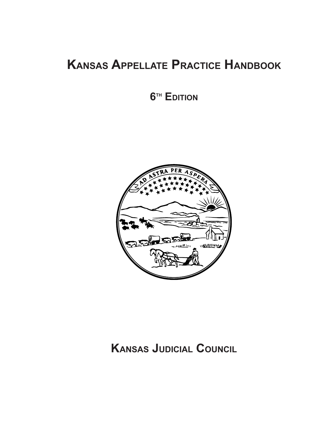# **Kansas Appellate Practice Handbook**

**6th Edition**



## **Kansas Judicial Council**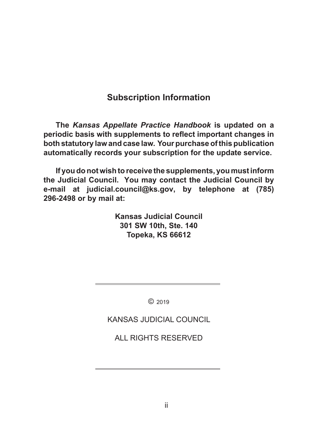### **Subscription Information**

**The** *Kansas Appellate Practice Handbook* **is updated on a periodic basis with supplements to reflect important changes in both statutory law and case law. Your purchase of this publication automatically records your subscription for the update service.**

 **If you do not wish to receive the supplements, you must inform the Judicial Council. You may contact the Judicial Council by e-mail at judicial.council@ks.gov, by telephone at (785) 296-2498 or by mail at:**

> **Kansas Judicial Council 301 SW 10th, Ste. 140 Topeka, KS 66612**

> > © 2019

KANSAS JUDICIAL COUNCIL

ALL RIGHTS RESERVED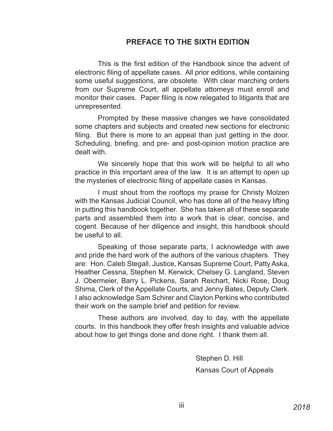#### **PREFACE TO THE SIXTH EDITION**

This is the first edition of the Handbook since the advent of electronic filing of appellate cases. All prior editions, while containing some useful suggestions, are obsolete. With clear marching orders from our Supreme Court, all appellate attorneys must enroll and monitor their cases. Paper filing is now relegated to litigants that are unrepresented.

Prompted by these massive changes we have consolidated some chapters and subjects and created new sections for electronic filing. But there is more to an appeal than just getting in the door. Scheduling, briefing, and pre- and post-opinion motion practice are dealt with.

We sincerely hope that this work will be helpful to all who practice in this important area of the law. It is an attempt to open up the mysteries of electronic filing of appellate cases in Kansas.

I must shout from the rooftops my praise for Christy Molzen with the Kansas Judicial Council, who has done all of the heavy lifting in putting this handbook together. She has taken all of these separate parts and assembled them into a work that is clear, concise, and cogent. Because of her diligence and insight, this handbook should be useful to all.

Speaking of those separate parts, I acknowledge with awe and pride the hard work of the authors of the various chapters. They are: Hon. Caleb Stegall, Justice, Kansas Supreme Court, Patty Aska, Heather Cessna, Stephen M. Kerwick, Chelsey G. Langland, Steven J. Obermeier, Barry L. Pickens, Sarah Reichart, Nicki Rose, Doug Shima, Clerk of the Appellate Courts, and Jenny Bates, Deputy Clerk. I also acknowledge Sam Schirer and Clayton Perkins who contributed their work on the sample brief and petition for review.

These authors are involved, day to day, with the appellate courts. In this handbook they offer fresh insights and valuable advice about how to get things done and done right. I thank them all.

> Stephen D. Hill Kansas Court of Appeals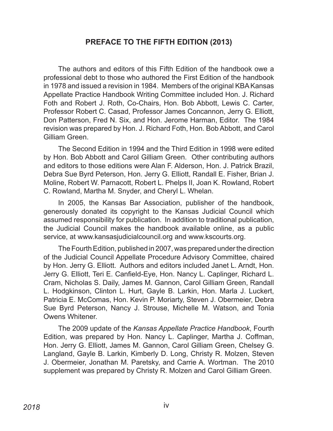#### **PREFACE TO THE FIFTH EDITION (2013)**

The authors and editors of this Fifth Edition of the handbook owe a professional debt to those who authored the First Edition of the handbook in 1978 and issued a revision in 1984. Members of the original KBA Kansas Appellate Practice Handbook Writing Committee included Hon. J. Richard Foth and Robert J. Roth, Co-Chairs, Hon. Bob Abbott, Lewis C. Carter, Professor Robert C. Casad, Professor James Concannon, Jerry G. Elliott, Don Patterson, Fred N. Six, and Hon. Jerome Harman, Editor. The 1984 revision was prepared by Hon. J. Richard Foth, Hon. Bob Abbott, and Carol Gilliam Green.

The Second Edition in 1994 and the Third Edition in 1998 were edited by Hon. Bob Abbott and Carol Gilliam Green. Other contributing authors and editors to those editions were Alan F. Alderson, Hon. J. Patrick Brazil, Debra Sue Byrd Peterson, Hon. Jerry G. Elliott, Randall E. Fisher, Brian J. Moline, Robert W. Parnacott, Robert L. Phelps II, Joan K. Rowland, Robert C. Rowland, Martha M. Snyder, and Cheryl L. Whelan.

In 2005, the Kansas Bar Association, publisher of the handbook, generously donated its copyright to the Kansas Judicial Council which assumed responsibility for publication. In addition to traditional publication, the Judicial Council makes the handbook available online, as a public service, at www.kansasjudicialcouncil.org and www.kscourts.org.

The Fourth Edition, published in 2007, was prepared under the direction of the Judicial Council Appellate Procedure Advisory Committee, chaired by Hon. Jerry G. Elliott. Authors and editors included Janet L. Arndt, Hon. Jerry G. Elliott, Teri E. Canfield-Eye, Hon. Nancy L. Caplinger, Richard L. Cram, Nicholas S. Daily, James M. Gannon, Carol Gilliam Green, Randall L. Hodgkinson, Clinton L. Hurt, Gayle B. Larkin, Hon. Marla J. Luckert, Patricia E. McComas, Hon. Kevin P. Moriarty, Steven J. Obermeier, Debra Sue Byrd Peterson, Nancy J. Strouse, Michelle M. Watson, and Tonia Owens Whitener.

The 2009 update of the *Kansas Appellate Practice Handbook*, Fourth Edition, was prepared by Hon. Nancy L. Caplinger, Martha J. Coffman, Hon. Jerry G. Elliott, James M. Gannon, Carol Gilliam Green, Chelsey G. Langland, Gayle B. Larkin, Kimberly D. Long, Christy R. Molzen, Steven J. Obermeier, Jonathan M. Paretsky, and Carrie A. Wortman. The 2010 supplement was prepared by Christy R. Molzen and Carol Gilliam Green.